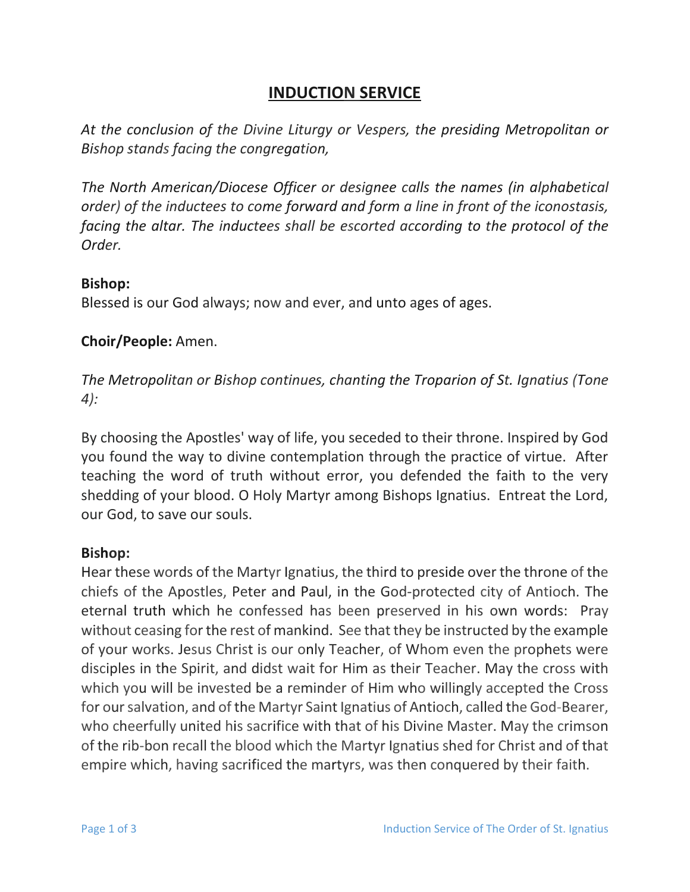# **INDUCTION SERVICE**

*At the conclusion of the Divine Liturgy or Vespers, the presiding Metropolitan or Bishop stands facing the congregation,* 

*The North American/Diocese Officer or designee calls the names (in alphabetical order) of the inductees to come forward and form a line in front of the iconostasis,*  facing the altar. The inductees shall be escorted according to the protocol of the *Order.*

#### **Bishop:**

Blessed is our God always; now and ever, and unto ages of ages.

#### **Choir/People:** Amen.

*The Metropolitan or Bishop continues, chanting the Troparion of St. Ignatius (Tone 4):* 

By choosing the Apostles' way of life, you seceded to their throne. Inspired by God you found the way to divine contemplation through the practice of virtue. After teaching the word of truth without error, you defended the faith to the very shedding of your blood. O Holy Martyr among Bishops Ignatius. Entreat the Lord, our God, to save our souls.

#### **Bishop:**

Hear these words of the Martyr Ignatius, the third to preside over the throne of the chiefs of the Apostles, Peter and Paul, in the God-protected city of Antioch. The eternal truth which he confessed has been preserved in his own words: Pray without ceasing for the rest of mankind. See that they be instructed by the example of your works. Jesus Christ is our only Teacher, of Whom even the prophets were disciples in the Spirit, and didst wait for Him as their Teacher. May the cross with which you will be invested be a reminder of Him who willingly accepted the Cross for our salvation, and of the Martyr Saint Ignatius of Antioch, called the God-Bearer, who cheerfully united his sacrifice with that of his Divine Master. May the crimson of the rib-bon recall the blood which the Martyr Ignatius shed for Christ and of that empire which, having sacrificed the martyrs, was then conquered by their faith.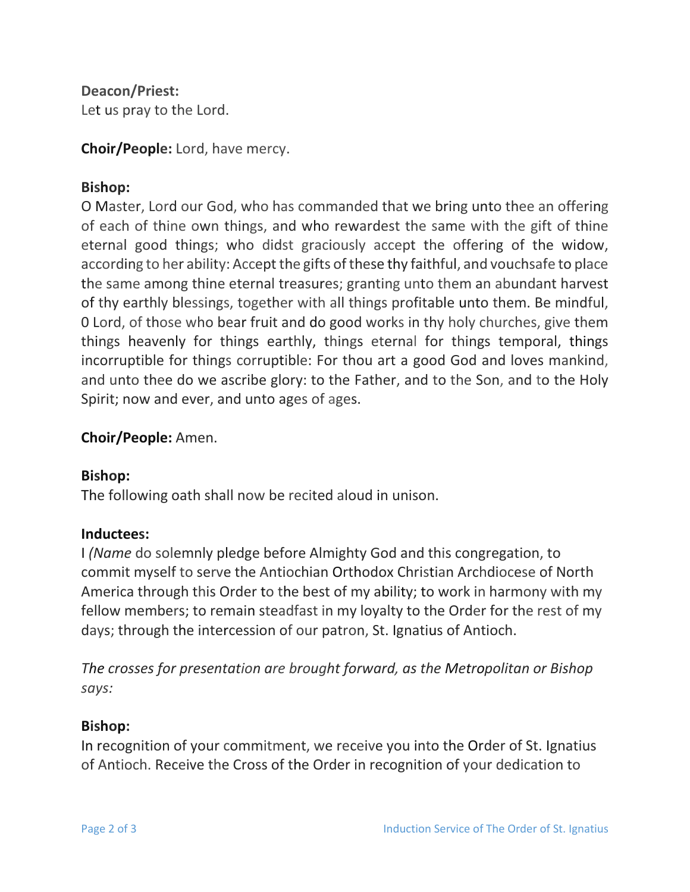**Deacon/Priest:**

Let us pray to the Lord.

**Choir/People:** Lord, have mercy.

# **Bishop:**

O Master, Lord our God, who has commanded that we bring unto thee an offering of each of thine own things, and who rewardest the same with the gift of thine eternal good things; who didst graciously accept the offering of the widow, according to her ability: Accept the gifts of these thy faithful, and vouchsafe to place the same among thine eternal treasures; granting unto them an abundant harvest of thy earthly blessings, together with all things profitable unto them. Be mindful, 0 Lord, of those who bear fruit and do good works in thy holy churches, give them things heavenly for things earthly, things eternal for things temporal, things incorruptible for things corruptible: For thou art a good God and loves mankind, and unto thee do we ascribe glory: to the Father, and to the Son, and to the Holy Spirit; now and ever, and unto ages of ages.

## **Choir/People:** Amen.

#### **Bishop:**

The following oath shall now be recited aloud in unison.

# **Inductees:**

I *(Name* do solemnly pledge before Almighty God and this congregation, to commit myself to serve the Antiochian Orthodox Christian Archdiocese of North America through this Order to the best of my ability; to work in harmony with my fellow members; to remain steadfast in my loyalty to the Order for the rest of my days; through the intercession of our patron, St. Ignatius of Antioch.

*The crosses for presentation are brought forward, as the Metropolitan or Bishop says:* 

#### **Bishop:**

In recognition of your commitment, we receive you into the Order of St. Ignatius of Antioch. Receive the Cross of the Order in recognition of your dedication to